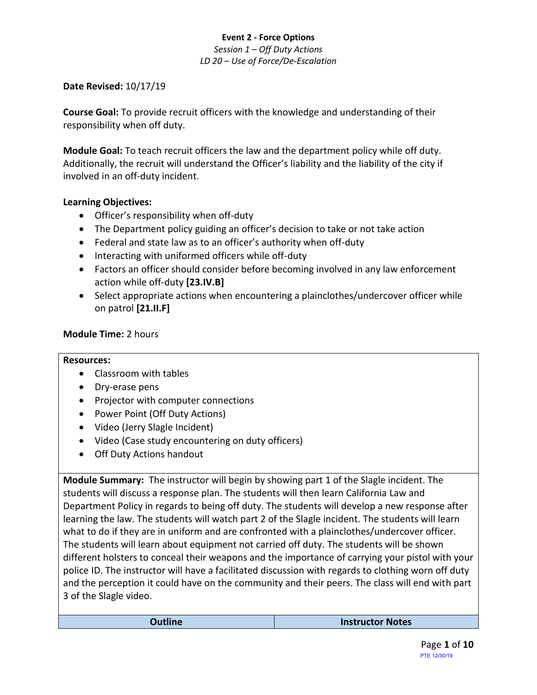# **Event 2 - Force Options** *Session 1 – Off Duty Actions LD 20 – Use of Force/De-Escalation*

# **Date Revised:** 10/17/19

**Course Goal:** To provide recruit officers with the knowledge and understanding of their responsibility when off duty.

**Module Goal:** To teach recruit officers the law and the department policy while off duty. Additionally, the recruit will understand the Officer's liability and the liability of the city if involved in an off-duty incident.

## **Learning Objectives:**

- Officer's responsibility when off-duty
- The Department policy guiding an officer's decision to take or not take action
- Federal and state law as to an officer's authority when off-duty
- Interacting with uniformed officers while off-duty
- Factors an officer should consider before becoming involved in any law enforcement action while off-duty **[23.IV.B]**
- Select appropriate actions when encountering a plainclothes/undercover officer while on patrol **[21.II.F]**

# **Module Time:** 2 hours

## **Resources:**

- Classroom with tables
- Dry-erase pens
- Projector with computer connections
- Power Point (Off Duty Actions)
- Video (Jerry Slagle Incident)
- Video (Case study encountering on duty officers)
- Off Duty Actions handout

**Module Summary:** The instructor will begin by showing part 1 of the Slagle incident. The students will discuss a response plan. The students will then learn California Law and Department Policy in regards to being off duty. The students will develop a new response after learning the law. The students will watch part 2 of the Slagle incident. The students will learn what to do if they are in uniform and are confronted with a plainclothes/undercover officer. The students will learn about equipment not carried off duty. The students will be shown different holsters to conceal their weapons and the importance of carrying your pistol with your police ID. The instructor will have a facilitated discussion with regards to clothing worn off duty and the perception it could have on the community and their peers. The class will end with part 3 of the Slagle video.

| <b>Outline</b> | <b>Instructor Notes</b> |
|----------------|-------------------------|
|----------------|-------------------------|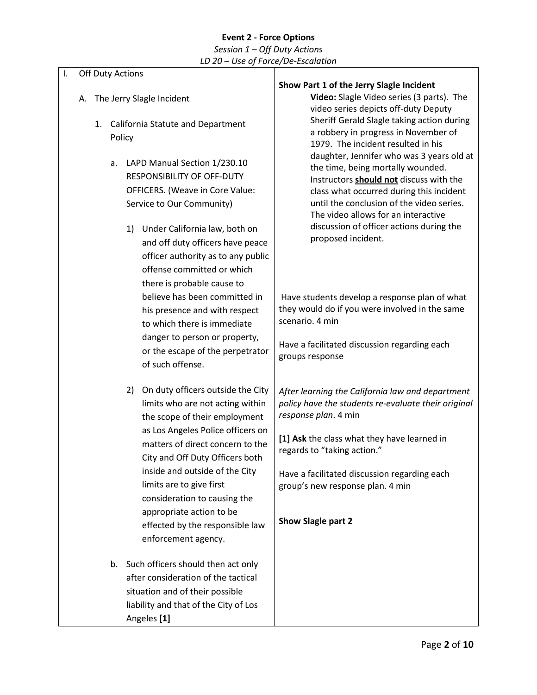## **Event 2 - Force Options** *Session 1 – Off Duty Actions LD 20 – Use of Force/De-Escalation*

## **Off Duty Actions**

- A. The Jerry Slagle Incident
	- 1. California Statute and Department Policy
		- a. LAPD Manual Section 1/230.10 RESPONSIBILITY OF OFF-DUTY OFFICERS. (Weave in Core Value: Service to Our Community)
			- 1) Under California law, both on and off duty officers have peace officer authority as to any public offense committed or which there is probable cause to believe has been committed in his presence and with respect to which there is immediate danger to person or property, or the escape of the perpetrator of such offense.
			- 2) On duty officers outside the City limits who are not acting within the scope of their employment as Los Angeles Police officers on matters of direct concern to the City and Off Duty Officers both inside and outside of the City limits are to give first consideration to causing the appropriate action to be effected by the responsible law enforcement agency.
		- b. Such officers should then act only after consideration of the tactical situation and of their possible liability and that of the City of Los Angeles **[1]**

#### **Show Part 1 of the Jerry Slagle Incident**

**Video:** Slagle Video series (3 parts). The video series depicts off-duty Deputy Sheriff Gerald Slagle taking action during a robbery in progress in November of 1979. The incident resulted in his daughter, Jennifer who was 3 years old at the time, being mortally wounded. Instructors **should not** discuss with the class what occurred during this incident until the conclusion of the video series. The video allows for an interactive discussion of officer actions during the proposed incident.

Have students develop a response plan of what they would do if you were involved in the same scenario. 4 min

Have a facilitated discussion regarding each groups response

*After learning the California law and department policy have the students re-evaluate their original response plan*. 4 min

**[1] Ask** the class what they have learned in regards to "taking action."

Have a facilitated discussion regarding each group's new response plan. 4 min

**Show Slagle part 2**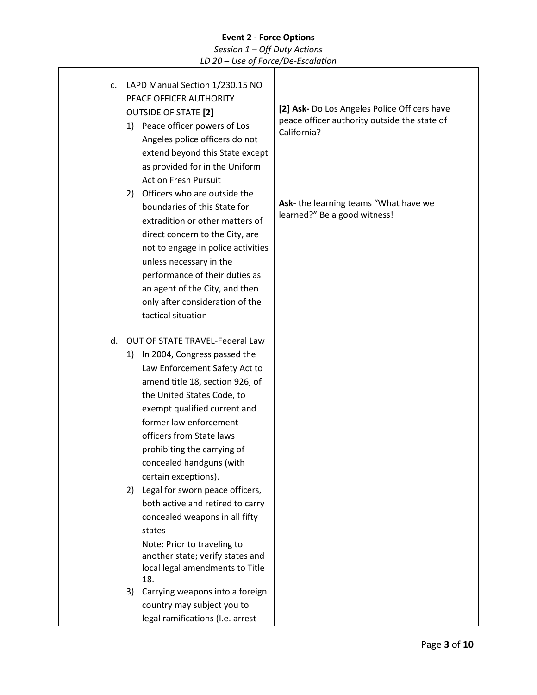# **Event 2 - Force Options** *Session 1 – Off Duty Actions*

|    | LD 20 - Use of Force/De-Escalation                                                                                                                                                                                                                                                                                                                                                                                                                                                                                                                                                            |                                                                                                                                                     |
|----|-----------------------------------------------------------------------------------------------------------------------------------------------------------------------------------------------------------------------------------------------------------------------------------------------------------------------------------------------------------------------------------------------------------------------------------------------------------------------------------------------------------------------------------------------------------------------------------------------|-----------------------------------------------------------------------------------------------------------------------------------------------------|
| c. | LAPD Manual Section 1/230.15 NO<br>PEACE OFFICER AUTHORITY<br><b>OUTSIDE OF STATE [2]</b><br>1) Peace officer powers of Los<br>Angeles police officers do not<br>extend beyond this State except<br>as provided for in the Uniform<br>Act on Fresh Pursuit<br>Officers who are outside the<br>2)<br>boundaries of this State for                                                                                                                                                                                                                                                              | [2] Ask- Do Los Angeles Police Officers have<br>peace officer authority outside the state of<br>California?<br>Ask-the learning teams "What have we |
|    | extradition or other matters of<br>direct concern to the City, are<br>not to engage in police activities<br>unless necessary in the<br>performance of their duties as<br>an agent of the City, and then<br>only after consideration of the<br>tactical situation                                                                                                                                                                                                                                                                                                                              | learned?" Be a good witness!                                                                                                                        |
| d. | <b>OUT OF STATE TRAVEL-Federal Law</b><br>In 2004, Congress passed the<br>1)<br>Law Enforcement Safety Act to<br>amend title 18, section 926, of<br>the United States Code, to<br>exempt qualified current and<br>former law enforcement<br>officers from State laws<br>prohibiting the carrying of<br>concealed handguns (with<br>certain exceptions).<br>Legal for sworn peace officers,<br>2)<br>both active and retired to carry<br>concealed weapons in all fifty<br>states<br>Note: Prior to traveling to<br>another state; verify states and<br>local legal amendments to Title<br>18. |                                                                                                                                                     |
|    | Carrying weapons into a foreign<br>3)<br>country may subject you to<br>legal ramifications (I.e. arrest                                                                                                                                                                                                                                                                                                                                                                                                                                                                                       |                                                                                                                                                     |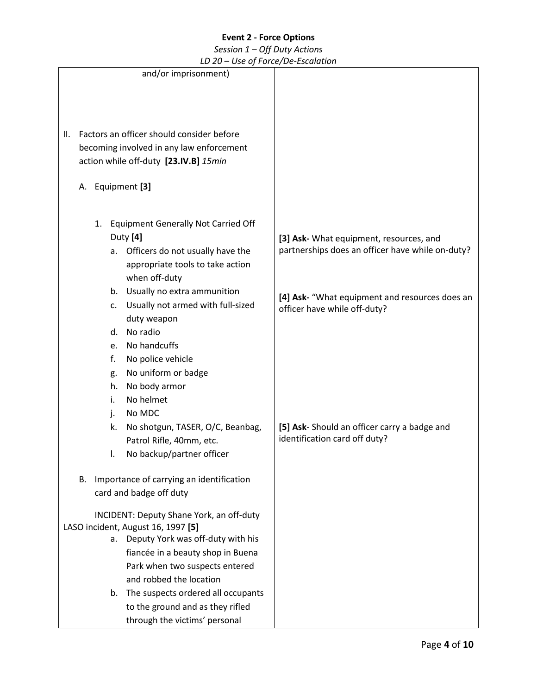# *Session 1 – Off Duty Actions*

*LD 20 – Use of Force/De-Escalation*

|    |    |    | LD 20 – Use of Force/De-Escalation        |                                                                                             |
|----|----|----|-------------------------------------------|---------------------------------------------------------------------------------------------|
|    |    |    | and/or imprisonment)                      |                                                                                             |
|    |    |    |                                           |                                                                                             |
|    |    |    |                                           |                                                                                             |
|    |    |    |                                           |                                                                                             |
| Ш. |    |    | Factors an officer should consider before |                                                                                             |
|    |    |    |                                           |                                                                                             |
|    |    |    | becoming involved in any law enforcement  |                                                                                             |
|    |    |    | action while off-duty [23.IV.B] 15min     |                                                                                             |
|    |    |    |                                           |                                                                                             |
|    |    |    | A. Equipment [3]                          |                                                                                             |
|    |    |    |                                           |                                                                                             |
|    |    |    | 1. Equipment Generally Not Carried Off    |                                                                                             |
|    |    |    | Duty [4]                                  |                                                                                             |
|    |    |    |                                           | [3] Ask- What equipment, resources, and<br>partnerships does an officer have while on-duty? |
|    |    | a. | Officers do not usually have the          |                                                                                             |
|    |    |    | appropriate tools to take action          |                                                                                             |
|    |    |    | when off-duty                             |                                                                                             |
|    |    | b. | Usually no extra ammunition               | [4] Ask- "What equipment and resources does an                                              |
|    |    | c. | Usually not armed with full-sized         | officer have while off-duty?                                                                |
|    |    |    | duty weapon                               |                                                                                             |
|    |    | d. | No radio                                  |                                                                                             |
|    |    | e. | No handcuffs                              |                                                                                             |
|    |    | f. | No police vehicle                         |                                                                                             |
|    |    | g. | No uniform or badge                       |                                                                                             |
|    |    | h. | No body armor                             |                                                                                             |
|    |    | i. | No helmet                                 |                                                                                             |
|    |    | j. | No MDC                                    |                                                                                             |
|    |    | k. | No shotgun, TASER, O/C, Beanbag,          | [5] Ask-Should an officer carry a badge and                                                 |
|    |    |    | Patrol Rifle, 40mm, etc.                  | identification card off duty?                                                               |
|    |    |    | No backup/partner officer                 |                                                                                             |
|    |    |    |                                           |                                                                                             |
|    | В. |    | Importance of carrying an identification  |                                                                                             |
|    |    |    | card and badge off duty                   |                                                                                             |
|    |    |    |                                           |                                                                                             |
|    |    |    | INCIDENT: Deputy Shane York, an off-duty  |                                                                                             |
|    |    |    | LASO incident, August 16, 1997 [5]        |                                                                                             |
|    |    | а. | Deputy York was off-duty with his         |                                                                                             |
|    |    |    | fiancée in a beauty shop in Buena         |                                                                                             |
|    |    |    | Park when two suspects entered            |                                                                                             |
|    |    |    | and robbed the location                   |                                                                                             |
|    |    | b. | The suspects ordered all occupants        |                                                                                             |
|    |    |    | to the ground and as they rifled          |                                                                                             |
|    |    |    | through the victims' personal             |                                                                                             |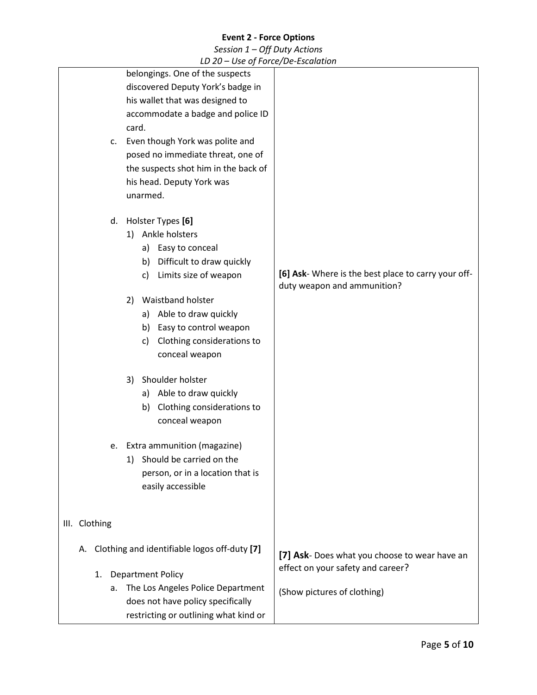# *Session 1 – Off Duty Actions*

*LD 20 – Use of Force/De-Escalation*

| c.<br>d.      | LD 20 OSC Of FORCE DE ESCURATOR<br>belongings. One of the suspects<br>discovered Deputy York's badge in<br>his wallet that was designed to<br>accommodate a badge and police ID<br>card.<br>Even though York was polite and<br>posed no immediate threat, one of<br>the suspects shot him in the back of<br>his head. Deputy York was<br>unarmed.<br>Holster Types [6]                                                                                                                                     |                                                                                    |
|---------------|------------------------------------------------------------------------------------------------------------------------------------------------------------------------------------------------------------------------------------------------------------------------------------------------------------------------------------------------------------------------------------------------------------------------------------------------------------------------------------------------------------|------------------------------------------------------------------------------------|
|               | Ankle holsters<br>1)<br>a) Easy to conceal<br>Difficult to draw quickly<br>b)<br>Limits size of weapon<br>c)<br><b>Waistband holster</b><br>2)<br>a) Able to draw quickly<br>Easy to control weapon<br>b)<br>Clothing considerations to<br>c)<br>conceal weapon<br>Shoulder holster<br>3)<br>a) Able to draw quickly<br>Clothing considerations to<br>b)<br>conceal weapon<br>Extra ammunition (magazine)<br>e.<br>Should be carried on the<br>1)<br>person, or in a location that is<br>easily accessible | [6] Ask- Where is the best place to carry your off-<br>duty weapon and ammunition? |
| III. Clothing |                                                                                                                                                                                                                                                                                                                                                                                                                                                                                                            |                                                                                    |
| А.            | Clothing and identifiable logos off-duty [7]                                                                                                                                                                                                                                                                                                                                                                                                                                                               | [7] Ask- Does what you choose to wear have an                                      |
| 1.            | <b>Department Policy</b>                                                                                                                                                                                                                                                                                                                                                                                                                                                                                   | effect on your safety and career?                                                  |
|               | The Los Angeles Police Department<br>а.<br>does not have policy specifically<br>restricting or outlining what kind or                                                                                                                                                                                                                                                                                                                                                                                      | (Show pictures of clothing)                                                        |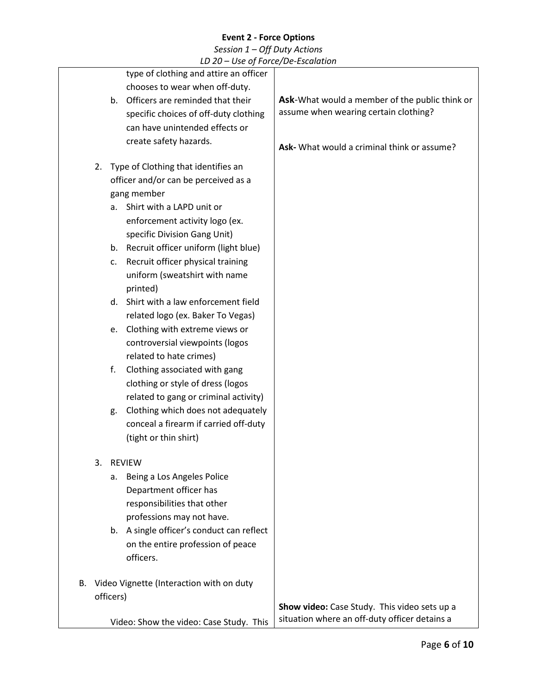| LD 20 - Use of Force/De-Escalation |  |
|------------------------------------|--|
|------------------------------------|--|

|    |    | LD 20 = OSE Of FORCE/DE-ESCURTION         |                                                |
|----|----|-------------------------------------------|------------------------------------------------|
|    |    | type of clothing and attire an officer    |                                                |
|    |    | chooses to wear when off-duty.            |                                                |
|    |    | b. Officers are reminded that their       | Ask-What would a member of the public think or |
|    |    | specific choices of off-duty clothing     | assume when wearing certain clothing?          |
|    |    | can have unintended effects or            |                                                |
|    |    | create safety hazards.                    | Ask- What would a criminal think or assume?    |
|    | 2. | Type of Clothing that identifies an       |                                                |
|    |    | officer and/or can be perceived as a      |                                                |
|    |    | gang member                               |                                                |
|    |    | a. Shirt with a LAPD unit or              |                                                |
|    |    | enforcement activity logo (ex.            |                                                |
|    |    | specific Division Gang Unit)              |                                                |
|    |    | b. Recruit officer uniform (light blue)   |                                                |
|    |    | Recruit officer physical training<br>c.   |                                                |
|    |    | uniform (sweatshirt with name             |                                                |
|    |    | printed)                                  |                                                |
|    |    | Shirt with a law enforcement field<br>d.  |                                                |
|    |    | related logo (ex. Baker To Vegas)         |                                                |
|    |    | Clothing with extreme views or<br>e.      |                                                |
|    |    | controversial viewpoints (logos           |                                                |
|    |    | related to hate crimes)                   |                                                |
|    |    | f.<br>Clothing associated with gang       |                                                |
|    |    | clothing or style of dress (logos         |                                                |
|    |    | related to gang or criminal activity)     |                                                |
|    |    | Clothing which does not adequately<br>g.  |                                                |
|    |    | conceal a firearm if carried off-duty     |                                                |
|    |    | (tight or thin shirt)                     |                                                |
|    | 3. | <b>REVIEW</b>                             |                                                |
|    |    | Being a Los Angeles Police<br>а.          |                                                |
|    |    | Department officer has                    |                                                |
|    |    | responsibilities that other               |                                                |
|    |    | professions may not have.                 |                                                |
|    |    | b. A single officer's conduct can reflect |                                                |
|    |    | on the entire profession of peace         |                                                |
|    |    | officers.                                 |                                                |
| В. |    | Video Vignette (Interaction with on duty  |                                                |
|    |    | officers)                                 |                                                |
|    |    |                                           | Show video: Case Study. This video sets up a   |
|    |    | Video: Show the video: Case Study. This   | situation where an off-duty officer detains a  |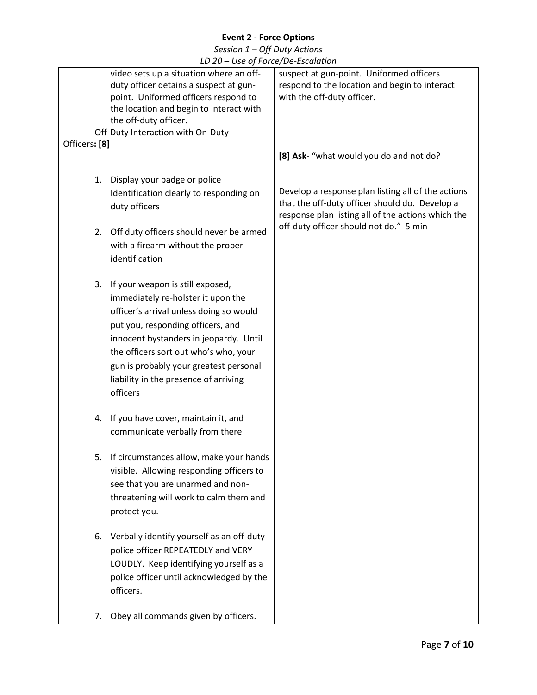| LD 20 - Use of Force/De-Escalation                                                                                                                                                                                                                                                                                                          |                                                                                                                                                                                                      |
|---------------------------------------------------------------------------------------------------------------------------------------------------------------------------------------------------------------------------------------------------------------------------------------------------------------------------------------------|------------------------------------------------------------------------------------------------------------------------------------------------------------------------------------------------------|
| video sets up a situation where an off-<br>duty officer detains a suspect at gun-<br>point. Uniformed officers respond to<br>the location and begin to interact with<br>the off-duty officer.<br>Off-Duty Interaction with On-Duty                                                                                                          | suspect at gun-point. Uniformed officers<br>respond to the location and begin to interact<br>with the off-duty officer.                                                                              |
| Officers: [8]                                                                                                                                                                                                                                                                                                                               |                                                                                                                                                                                                      |
|                                                                                                                                                                                                                                                                                                                                             | [8] Ask- "what would you do and not do?                                                                                                                                                              |
| 1. Display your badge or police<br>Identification clearly to responding on<br>duty officers<br>2. Off duty officers should never be armed<br>with a firearm without the proper                                                                                                                                                              | Develop a response plan listing all of the actions<br>that the off-duty officer should do. Develop a<br>response plan listing all of the actions which the<br>off-duty officer should not do." 5 min |
| identification                                                                                                                                                                                                                                                                                                                              |                                                                                                                                                                                                      |
| 3. If your weapon is still exposed,<br>immediately re-holster it upon the<br>officer's arrival unless doing so would<br>put you, responding officers, and<br>innocent bystanders in jeopardy. Until<br>the officers sort out who's who, your<br>gun is probably your greatest personal<br>liability in the presence of arriving<br>officers |                                                                                                                                                                                                      |
| 4. If you have cover, maintain it, and<br>communicate verbally from there                                                                                                                                                                                                                                                                   |                                                                                                                                                                                                      |
| If circumstances allow, make your hands<br>5.<br>visible. Allowing responding officers to<br>see that you are unarmed and non-<br>threatening will work to calm them and<br>protect you.                                                                                                                                                    |                                                                                                                                                                                                      |
| Verbally identify yourself as an off-duty<br>6.<br>police officer REPEATEDLY and VERY<br>LOUDLY. Keep identifying yourself as a<br>police officer until acknowledged by the<br>officers.                                                                                                                                                    |                                                                                                                                                                                                      |
| Obey all commands given by officers.<br>7.                                                                                                                                                                                                                                                                                                  |                                                                                                                                                                                                      |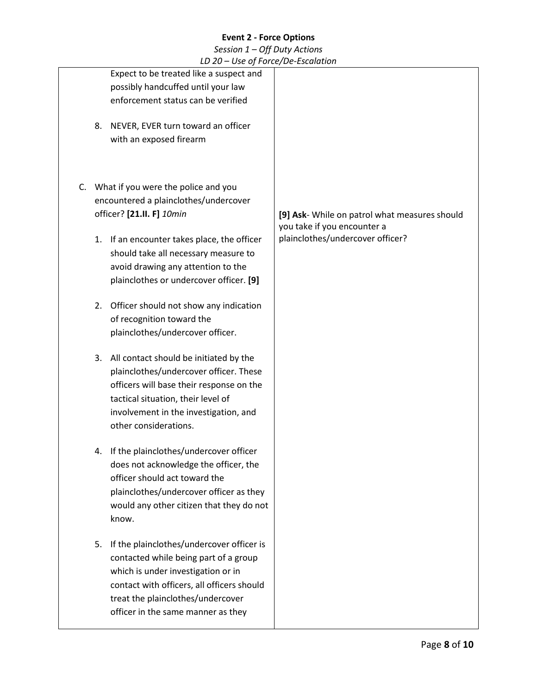|  |    | LD 20 - Use of Force/De-Escalation          |                                                                              |
|--|----|---------------------------------------------|------------------------------------------------------------------------------|
|  |    | Expect to be treated like a suspect and     |                                                                              |
|  |    | possibly handcuffed until your law          |                                                                              |
|  |    | enforcement status can be verified          |                                                                              |
|  |    |                                             |                                                                              |
|  | 8. | NEVER, EVER turn toward an officer          |                                                                              |
|  |    | with an exposed firearm                     |                                                                              |
|  |    |                                             |                                                                              |
|  |    |                                             |                                                                              |
|  |    |                                             |                                                                              |
|  |    | C. What if you were the police and you      |                                                                              |
|  |    | encountered a plainclothes/undercover       |                                                                              |
|  |    | officer? [21.II. F] 10min                   | [9] Ask- While on patrol what measures should<br>you take if you encounter a |
|  |    | 1. If an encounter takes place, the officer | plainclothes/undercover officer?                                             |
|  |    | should take all necessary measure to        |                                                                              |
|  |    | avoid drawing any attention to the          |                                                                              |
|  |    | plainclothes or undercover officer. [9]     |                                                                              |
|  |    |                                             |                                                                              |
|  | 2. | Officer should not show any indication      |                                                                              |
|  |    | of recognition toward the                   |                                                                              |
|  |    | plainclothes/undercover officer.            |                                                                              |
|  |    |                                             |                                                                              |
|  | 3. | All contact should be initiated by the      |                                                                              |
|  |    | plainclothes/undercover officer. These      |                                                                              |
|  |    | officers will base their response on the    |                                                                              |
|  |    | tactical situation, their level of          |                                                                              |
|  |    | involvement in the investigation, and       |                                                                              |
|  |    | other considerations.                       |                                                                              |
|  |    |                                             |                                                                              |
|  |    | If the plainclothes/undercover officer      |                                                                              |
|  |    | does not acknowledge the officer, the       |                                                                              |
|  |    | officer should act toward the               |                                                                              |
|  |    | plainclothes/undercover officer as they     |                                                                              |
|  |    | would any other citizen that they do not    |                                                                              |
|  |    | know.                                       |                                                                              |
|  |    |                                             |                                                                              |
|  | 5. | If the plainclothes/undercover officer is   |                                                                              |
|  |    | contacted while being part of a group       |                                                                              |
|  |    | which is under investigation or in          |                                                                              |
|  |    | contact with officers, all officers should  |                                                                              |
|  |    | treat the plainclothes/undercover           |                                                                              |
|  |    | officer in the same manner as they          |                                                                              |
|  |    |                                             |                                                                              |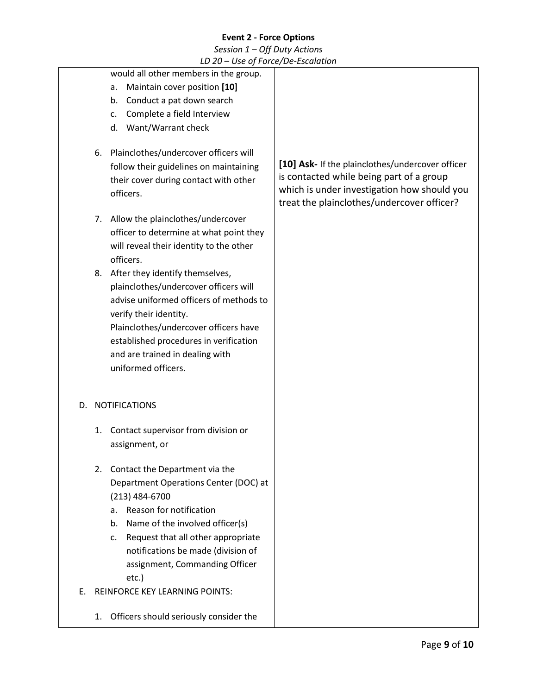|    |    | LD 20 – Use of Force/De-Escalation       |                                                  |
|----|----|------------------------------------------|--------------------------------------------------|
|    |    | would all other members in the group.    |                                                  |
|    |    | Maintain cover position [10]<br>a.       |                                                  |
|    |    | Conduct a pat down search<br>b.          |                                                  |
|    |    | Complete a field Interview<br>c.         |                                                  |
|    |    | Want/Warrant check<br>d.                 |                                                  |
|    |    |                                          |                                                  |
|    | 6. | Plainclothes/undercover officers will    |                                                  |
|    |    | follow their guidelines on maintaining   | [10] Ask- If the plainclothes/undercover officer |
|    |    | their cover during contact with other    | is contacted while being part of a group         |
|    |    | officers.                                | which is under investigation how should you      |
|    |    |                                          | treat the plainclothes/undercover officer?       |
|    | 7. | Allow the plainclothes/undercover        |                                                  |
|    |    | officer to determine at what point they  |                                                  |
|    |    | will reveal their identity to the other  |                                                  |
|    |    | officers.                                |                                                  |
|    | 8. | After they identify themselves,          |                                                  |
|    |    | plainclothes/undercover officers will    |                                                  |
|    |    | advise uniformed officers of methods to  |                                                  |
|    |    | verify their identity.                   |                                                  |
|    |    | Plainclothes/undercover officers have    |                                                  |
|    |    | established procedures in verification   |                                                  |
|    |    | and are trained in dealing with          |                                                  |
|    |    | uniformed officers.                      |                                                  |
|    |    |                                          |                                                  |
|    |    | D. NOTIFICATIONS                         |                                                  |
|    |    |                                          |                                                  |
|    | 1. | Contact supervisor from division or      |                                                  |
|    |    | assignment, or                           |                                                  |
|    |    |                                          |                                                  |
|    | 2. | Contact the Department via the           |                                                  |
|    |    | Department Operations Center (DOC) at    |                                                  |
|    |    | $(213)$ 484-6700                         |                                                  |
|    |    | a. Reason for notification               |                                                  |
|    |    | Name of the involved officer(s)<br>b.    |                                                  |
|    |    | Request that all other appropriate<br>c. |                                                  |
|    |    | notifications be made (division of       |                                                  |
|    |    | assignment, Commanding Officer           |                                                  |
|    |    | etc.)                                    |                                                  |
| Е. |    | <b>REINFORCE KEY LEARNING POINTS:</b>    |                                                  |
|    | 1. | Officers should seriously consider the   |                                                  |
|    |    |                                          |                                                  |